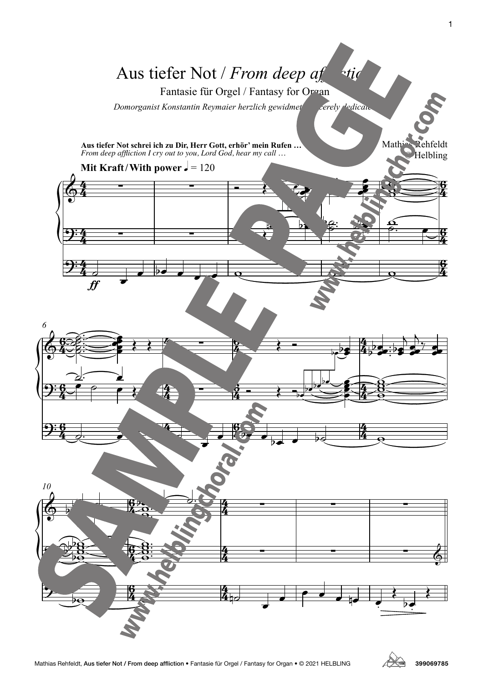



1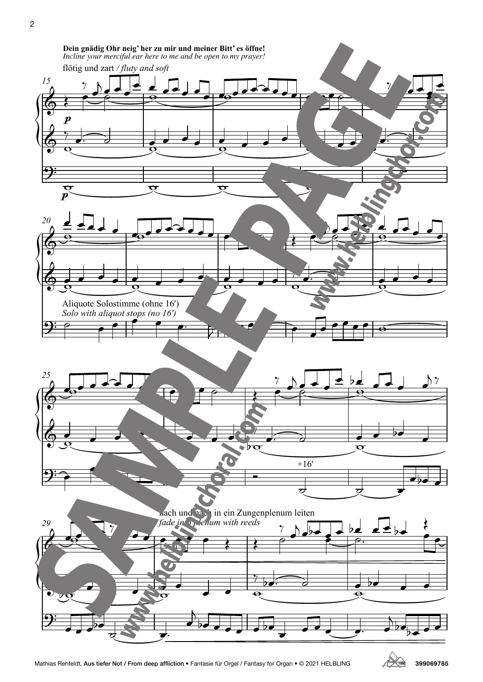

2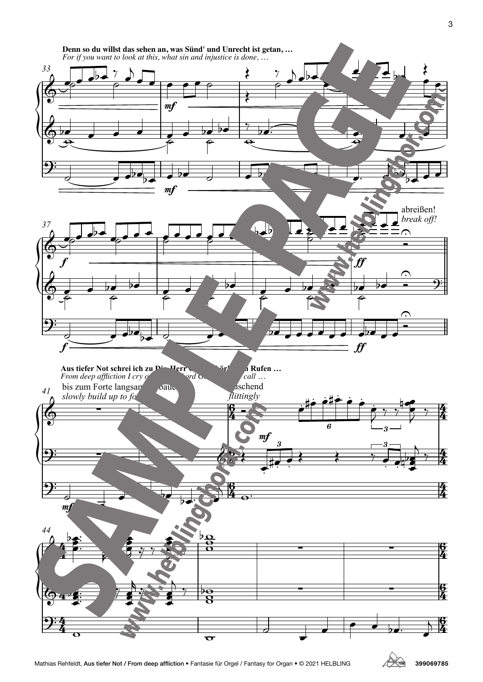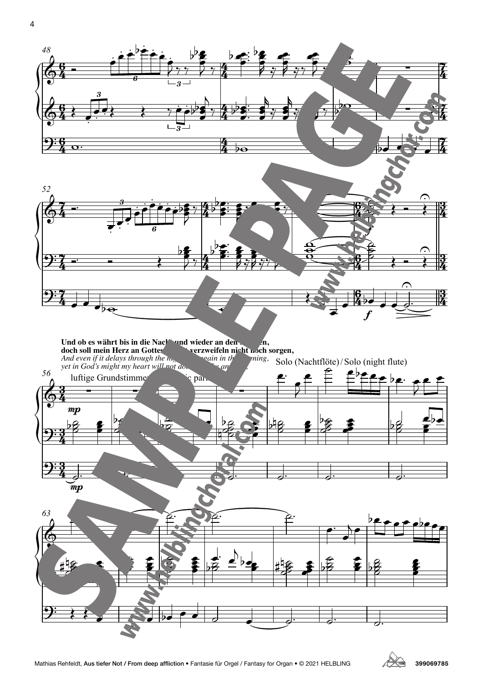

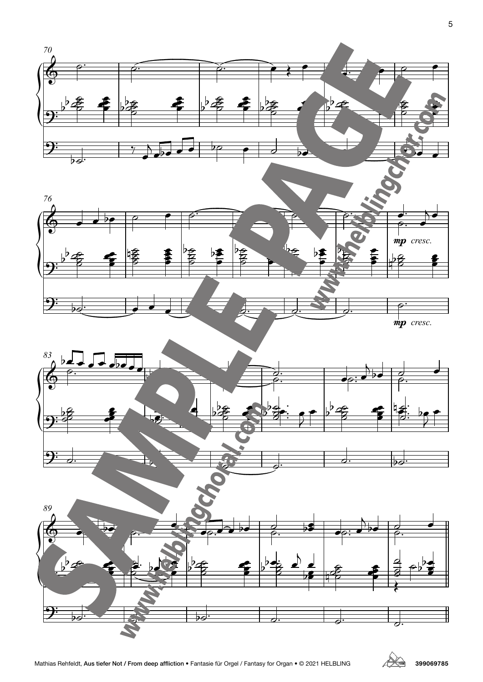

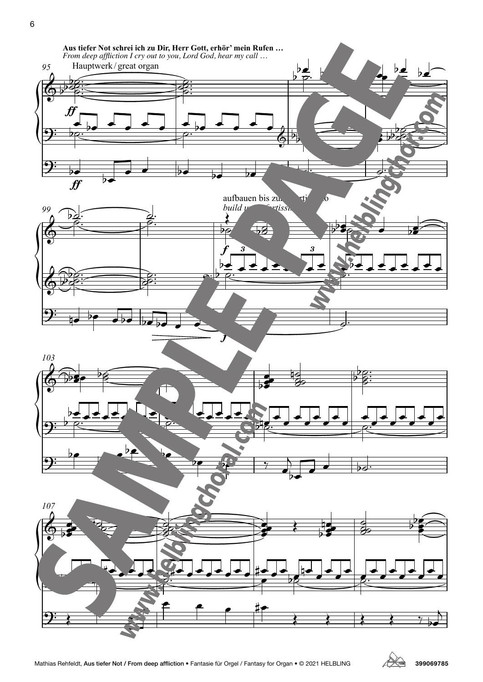

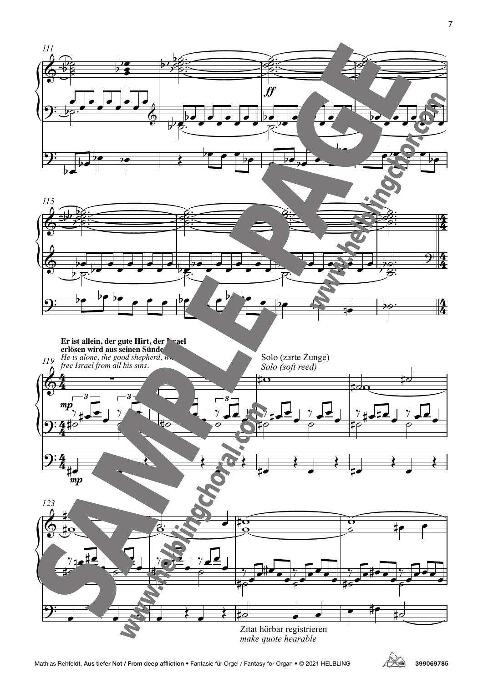

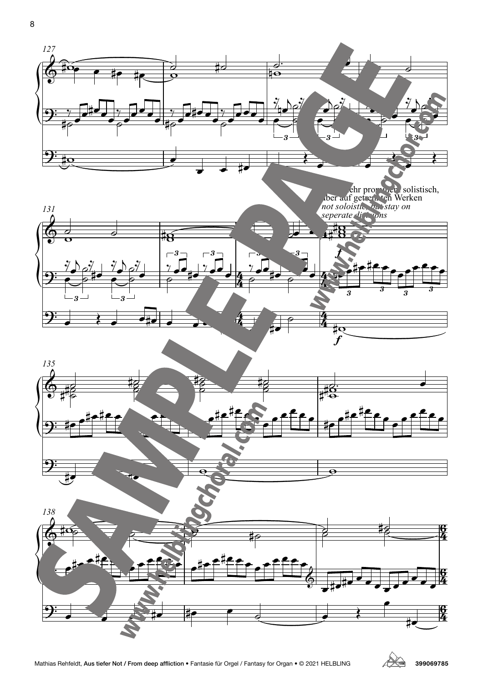

ehr prominer solistisch, dber auf getren. ten Werken *not soloistic, but stay on*





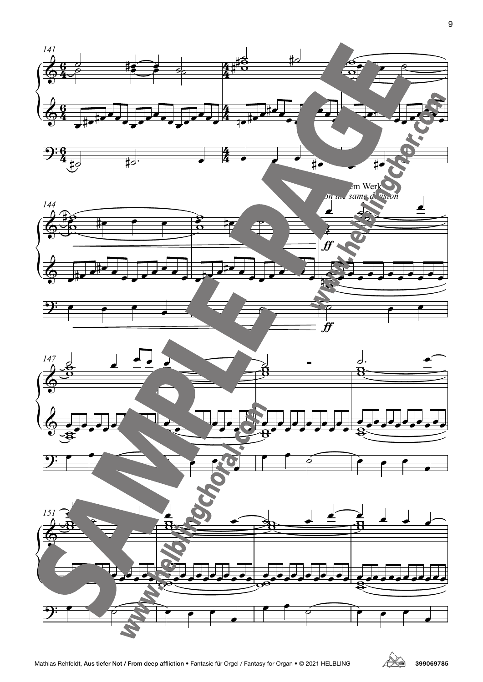







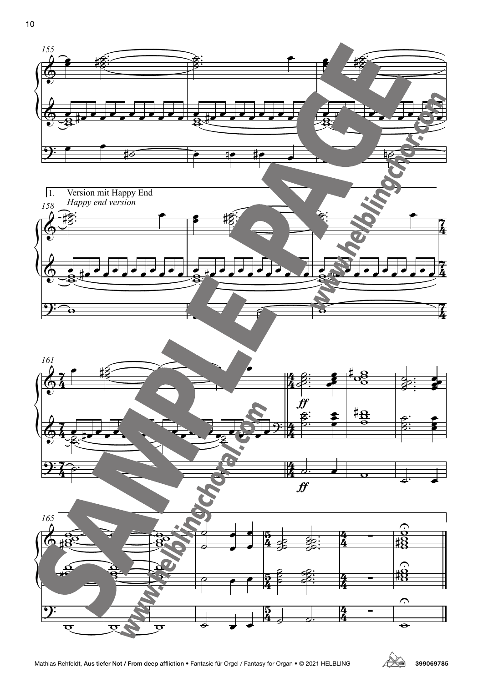





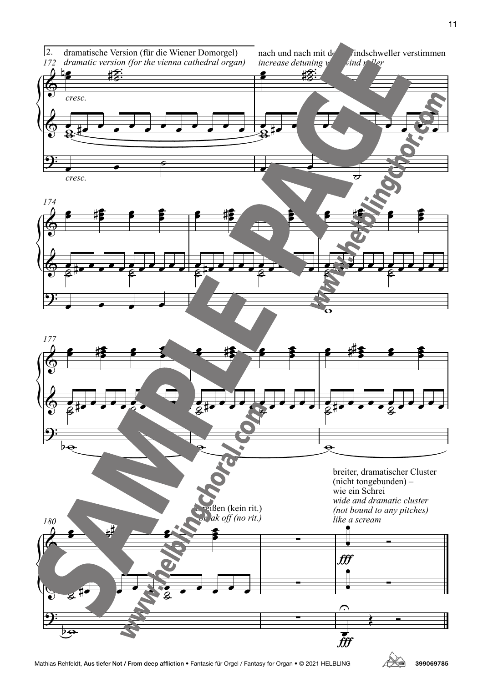